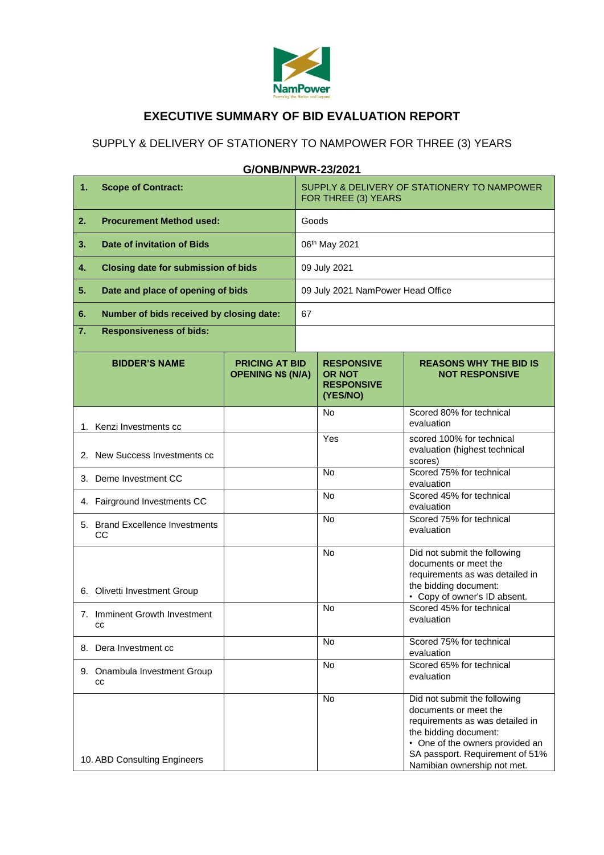

## **EXECUTIVE SUMMARY OF BID EVALUATION REPORT**

## SUPPLY & DELIVERY OF STATIONERY TO NAMPOWER FOR THREE (3) YEARS

#### **1. Scope of Contract:**  $\vert$  SUPPLY & DELIVERY OF STATIONERY TO NAMPOWER FOR THREE (3) YEARS **2. Procurement Method used:** Goods **3. Date of invitation of Bids 1988 1988 1988 106<sup>th</sup> May 2021 4. Closing date for submission of bids c** 09 July 2021 **5. Date and place of opening of bids** 09 July 2021 NamPower Head Office **6. Number of bids received by closing date:** 67 **7. Responsiveness of bids: BIDDER'S NAME PRICING AT BID OPENING N\$ (N/A) RESPONSIVE OR NOT RESPONSIVE (YES/NO) REASONS WHY THE BID IS NOT RESPONSIVE** 1. Kenzi Investments cc No Scored 80% for technical evaluation 2. New Success Investments cc Yes scored 100% for technical evaluation (highest technical scores) 3. Deme Investment CC No Scored 75% for technical evaluation 4. Fairground Investments CC No Scored 45% for technical evaluation 5. Brand Excellence Investments CC. No Scored 75% for technical evaluation 6. Olivetti Investment Group No Did not submit the following documents or meet the requirements as was detailed in the bidding document: • Copy of owner's ID absent. 7. Imminent Growth Investment cc No Scored 45% for technical evaluation 8. Dera Investment cc No Scored 75% for technical evaluation 9. Onambula Investment Group cc No Scored 65% for technical evaluation 10. ABD Consulting Engineers No Did not submit the following documents or meet the requirements as was detailed in the bidding document: • One of the owners provided an SA passport. Requirement of 51% Namibian ownership not met.

### **G/ONB/NPWR-23/2021**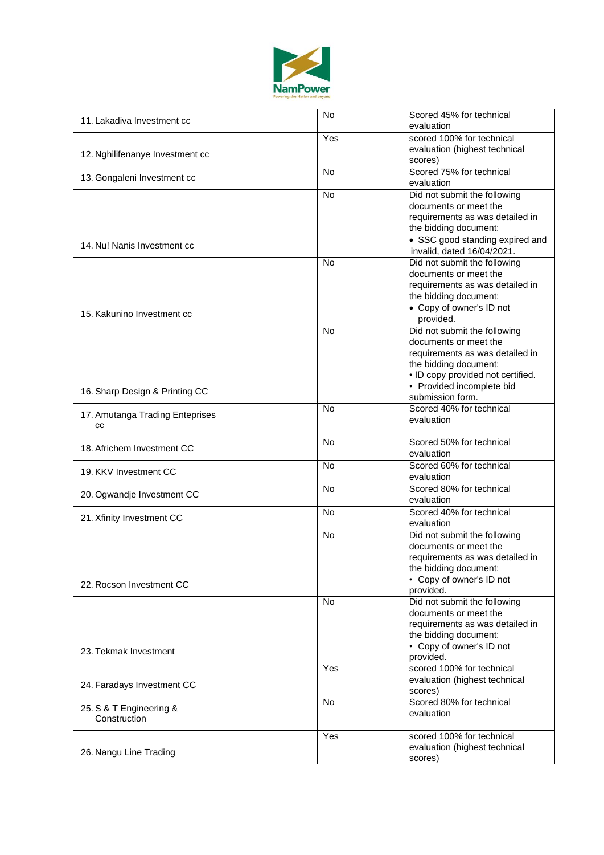

| 11. Lakadiva Investment cc              | <b>No</b> | Scored 45% for technical<br>evaluation                                                                                                                                                                  |
|-----------------------------------------|-----------|---------------------------------------------------------------------------------------------------------------------------------------------------------------------------------------------------------|
| 12. Nghilifenanye Investment cc         | Yes       | scored 100% for technical<br>evaluation (highest technical<br>scores)                                                                                                                                   |
| 13. Gongaleni Investment cc             | <b>No</b> | Scored 75% for technical<br>evaluation                                                                                                                                                                  |
| 14. Nu! Nanis Investment cc             | No        | Did not submit the following<br>documents or meet the<br>requirements as was detailed in<br>the bidding document:<br>• SSC good standing expired and<br>invalid, dated 16/04/2021.                      |
| 15. Kakunino Investment cc              | <b>No</b> | Did not submit the following<br>documents or meet the<br>requirements as was detailed in<br>the bidding document:<br>• Copy of owner's ID not<br>provided.                                              |
| 16. Sharp Design & Printing CC          | <b>No</b> | Did not submit the following<br>documents or meet the<br>requirements as was detailed in<br>the bidding document:<br>• ID copy provided not certified.<br>• Provided incomplete bid<br>submission form. |
| 17. Amutanga Trading Enteprises<br>CC   | No        | Scored 40% for technical<br>evaluation                                                                                                                                                                  |
| 18. Africhem Investment CC              | No        | Scored 50% for technical<br>evaluation                                                                                                                                                                  |
| 19. KKV Investment CC                   | <b>No</b> | Scored 60% for technical<br>evaluation                                                                                                                                                                  |
| 20. Ogwandje Investment CC              | <b>No</b> | Scored 80% for technical<br>evaluation                                                                                                                                                                  |
| 21. Xfinity Investment CC               | <b>No</b> | Scored 40% for technical<br>evaluation                                                                                                                                                                  |
| 22. Rocson Investment CC                | <b>No</b> | Did not submit the following<br>documents or meet the<br>requirements as was detailed in<br>the bidding document:<br>• Copy of owner's ID not<br>provided.                                              |
| 23. Tekmak Investment                   | <b>No</b> | Did not submit the following<br>documents or meet the<br>requirements as was detailed in<br>the bidding document:<br>• Copy of owner's ID not                                                           |
|                                         | Yes       | provided.<br>scored 100% for technical                                                                                                                                                                  |
| 24. Faradays Investment CC              |           | evaluation (highest technical<br>scores)                                                                                                                                                                |
| 25. S & T Engineering &<br>Construction | <b>No</b> | Scored 80% for technical<br>evaluation                                                                                                                                                                  |
| 26. Nangu Line Trading                  | Yes       | scored 100% for technical<br>evaluation (highest technical<br>scores)                                                                                                                                   |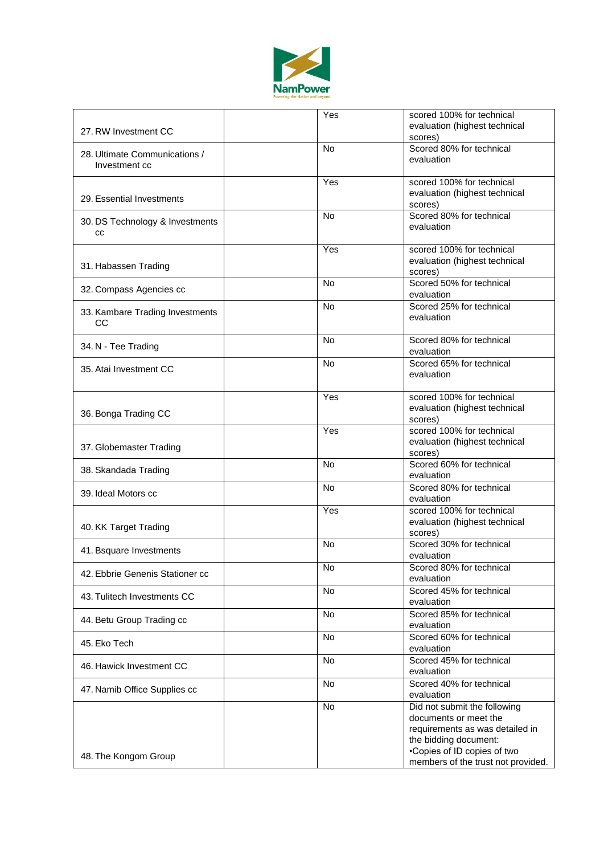

| 27. RW Investment CC                           | Yes       | scored 100% for technical<br>evaluation (highest technical<br>scores)                                                                                                                  |
|------------------------------------------------|-----------|----------------------------------------------------------------------------------------------------------------------------------------------------------------------------------------|
| 28. Ultimate Communications /<br>Investment cc | <b>No</b> | Scored 80% for technical<br>evaluation                                                                                                                                                 |
| 29. Essential Investments                      | Yes       | scored 100% for technical<br>evaluation (highest technical<br>scores)                                                                                                                  |
| 30. DS Technology & Investments<br>CC          | <b>No</b> | Scored 80% for technical<br>evaluation                                                                                                                                                 |
| 31. Habassen Trading                           | Yes       | scored 100% for technical<br>evaluation (highest technical<br>scores)                                                                                                                  |
| 32. Compass Agencies cc                        | <b>No</b> | Scored 50% for technical<br>evaluation                                                                                                                                                 |
| 33. Kambare Trading Investments<br>CС          | <b>No</b> | Scored 25% for technical<br>evaluation                                                                                                                                                 |
| 34. N - Tee Trading                            | <b>No</b> | Scored 80% for technical<br>evaluation                                                                                                                                                 |
| 35. Atai Investment CC                         | <b>No</b> | Scored 65% for technical<br>evaluation                                                                                                                                                 |
| 36. Bonga Trading CC                           | Yes       | scored 100% for technical<br>evaluation (highest technical<br>scores)                                                                                                                  |
| 37. Globemaster Trading                        | Yes       | scored 100% for technical<br>evaluation (highest technical<br>scores)                                                                                                                  |
| 38. Skandada Trading                           | No        | Scored 60% for technical<br>evaluation                                                                                                                                                 |
| 39. Ideal Motors cc                            | <b>No</b> | Scored 80% for technical<br>evaluation                                                                                                                                                 |
| 40. KK Target Trading                          | Yes       | scored 100% for technical<br>evaluation (highest technical<br>scores)                                                                                                                  |
| 41. Bsquare Investments                        | No        | Scored 30% for technical<br>evaluation                                                                                                                                                 |
| 42. Ebbrie Genenis Stationer cc                | No.       | Scored 80% for technical<br>evaluation                                                                                                                                                 |
| 43. Tulitech Investments CC                    | <b>No</b> | Scored 45% for technical<br>evaluation                                                                                                                                                 |
| 44. Betu Group Trading cc                      | <b>No</b> | Scored 85% for technical<br>evaluation                                                                                                                                                 |
| 45. Eko Tech                                   | No        | Scored 60% for technical<br>evaluation                                                                                                                                                 |
| 46. Hawick Investment CC                       | <b>No</b> | Scored 45% for technical<br>evaluation                                                                                                                                                 |
| 47. Namib Office Supplies cc                   | No        | Scored 40% for technical<br>evaluation                                                                                                                                                 |
| 48. The Kongom Group                           | No        | Did not submit the following<br>documents or meet the<br>requirements as was detailed in<br>the bidding document:<br>•Copies of ID copies of two<br>members of the trust not provided. |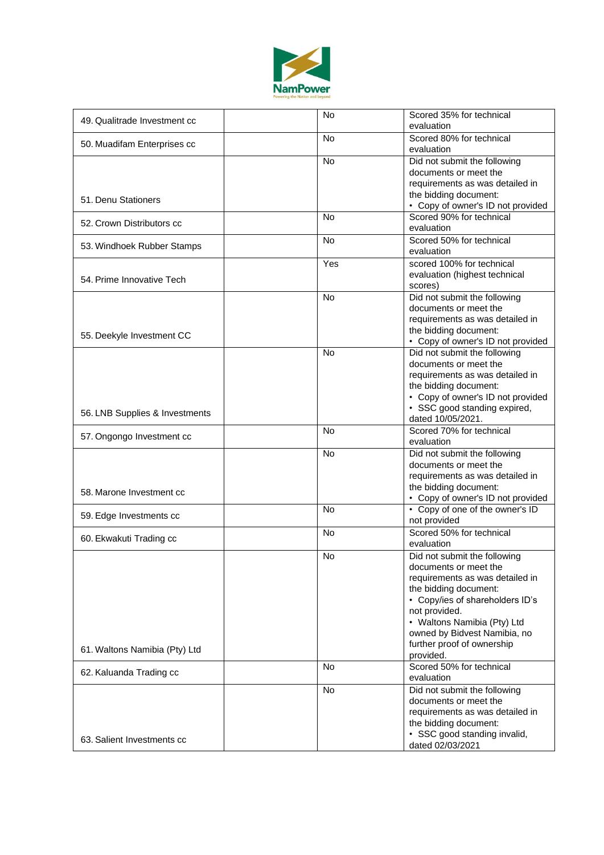

| 49. Qualitrade Investment cc   | <b>No</b>      | Scored 35% for technical<br>evaluation                                                                                                                                                                                               |
|--------------------------------|----------------|--------------------------------------------------------------------------------------------------------------------------------------------------------------------------------------------------------------------------------------|
| 50. Muadifam Enterprises cc    | <b>No</b>      | Scored 80% for technical<br>evaluation                                                                                                                                                                                               |
| 51. Denu Stationers            | No             | Did not submit the following<br>documents or meet the<br>requirements as was detailed in<br>the bidding document:                                                                                                                    |
| 52. Crown Distributors cc      | N <sub>o</sub> | • Copy of owner's ID not provided<br>Scored 90% for technical                                                                                                                                                                        |
|                                | <b>No</b>      | evaluation<br>Scored 50% for technical                                                                                                                                                                                               |
| 53. Windhoek Rubber Stamps     |                | evaluation                                                                                                                                                                                                                           |
| 54. Prime Innovative Tech      | Yes            | scored 100% for technical<br>evaluation (highest technical<br>scores)                                                                                                                                                                |
| 55. Deekyle Investment CC      | <b>No</b>      | Did not submit the following<br>documents or meet the<br>requirements as was detailed in<br>the bidding document:<br>• Copy of owner's ID not provided                                                                               |
| 56. LNB Supplies & Investments | <b>No</b>      | Did not submit the following<br>documents or meet the<br>requirements as was detailed in<br>the bidding document:<br>• Copy of owner's ID not provided<br>• SSC good standing expired,<br>dated 10/05/2021.                          |
| 57. Ongongo Investment cc      | <b>No</b>      | Scored 70% for technical<br>evaluation                                                                                                                                                                                               |
| 58. Marone Investment cc       | No             | Did not submit the following<br>documents or meet the<br>requirements as was detailed in<br>the bidding document:<br>• Copy of owner's ID not provided                                                                               |
| 59. Edge Investments cc        | <b>No</b>      | • Copy of one of the owner's ID<br>not provided                                                                                                                                                                                      |
| 60. Ekwakuti Trading cc        | <b>No</b>      | Scored 50% for technical<br>evaluation                                                                                                                                                                                               |
|                                | <b>No</b>      | Did not submit the following<br>documents or meet the<br>requirements as was detailed in<br>the bidding document:<br>• Copy/ies of shareholders ID's<br>not provided.<br>• Waltons Namibia (Pty) Ltd<br>owned by Bidvest Namibia, no |
| 61. Waltons Namibia (Pty) Ltd  |                | further proof of ownership<br>provided.                                                                                                                                                                                              |
| 62. Kaluanda Trading cc        | <b>No</b>      | Scored 50% for technical<br>evaluation                                                                                                                                                                                               |
| 63. Salient Investments cc     | <b>No</b>      | Did not submit the following<br>documents or meet the<br>requirements as was detailed in<br>the bidding document:<br>• SSC good standing invalid,<br>dated 02/03/2021                                                                |